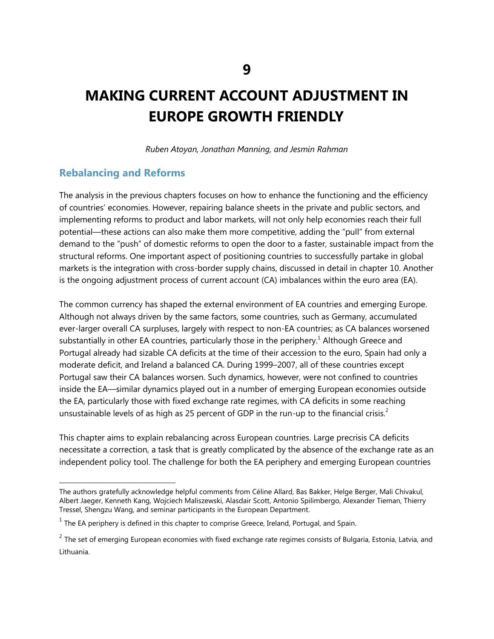# **MAKING CURRENT ACCOUNT ADJUSTMENT IN EUROPE GROWTH FRIENDLY**

*Ruben Atoyan, Jonathan Manning, and Jesmin Rahman* 

# **Rebalancing and Reforms**

The analysis in the previous chapters focuses on how to enhance the functioning and the efficiency of countries' economies. However, repairing balance sheets in the private and public sectors, and implementing reforms to product and labor markets, will not only help economies reach their full potential—these actions can also make them more competitive, adding the "pull" from external demand to the "push" of domestic reforms to open the door to a faster, sustainable impact from the structural reforms. One important aspect of positioning countries to successfully partake in global markets is the integration with cross-border supply chains, discussed in detail in chapter 10. Another is the ongoing adjustment process of current account (CA) imbalances within the euro area (EA).

The common currency has shaped the external environment of EA countries and emerging Europe. Although not always driven by the same factors, some countries, such as Germany, accumulated ever-larger overall CA surpluses, largely with respect to non-EA countries; as CA balances worsened substantially in other EA countries, particularly those in the periphery.<sup>1</sup> Although Greece and Portugal already had sizable CA deficits at the time of their accession to the euro, Spain had only a moderate deficit, and Ireland a balanced CA. During 1999–2007, all of these countries except Portugal saw their CA balances worsen. Such dynamics, however, were not confined to countries inside the EA—similar dynamics played out in a number of emerging European economies outside the EA, particularly those with fixed exchange rate regimes, with CA deficits in some reaching unsustainable levels of as high as 25 percent of GDP in the run-up to the financial crisis.<sup>2</sup>

This chapter aims to explain rebalancing across European countries. Large precrisis CA deficits necessitate a correction, a task that is greatly complicated by the absence of the exchange rate as an independent policy tool. The challenge for both the EA periphery and emerging European countries

The authors gratefully acknowledge helpful comments from Céline Allard, Bas Bakker, Helge Berger, Mali Chivakul, Albert Jaeger, Kenneth Kang, Wojciech Maliszewski, Alasdair Scott, Antonio Spilimbergo, Alexander Tieman, Thierry Tressel, Shengzu Wang, and seminar participants in the European Department.

 $<sup>1</sup>$  The EA periphery is defined in this chapter to comprise Greece, Ireland, Portugal, and Spain.</sup>

 $^2$  The set of emerging European economies with fixed exchange rate regimes consists of Bulgaria, Estonia, Latvia, and Lithuania.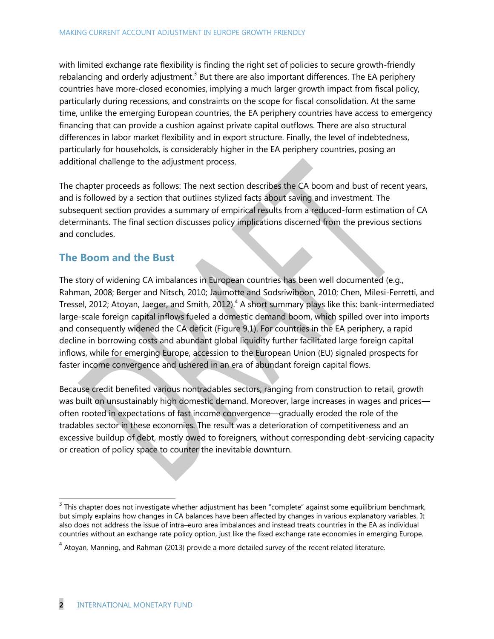with limited exchange rate flexibility is finding the right set of policies to secure growth-friendly rebalancing and orderly adjustment.<sup>3</sup> But there are also important differences. The EA periphery countries have more-closed economies, implying a much larger growth impact from fiscal policy, particularly during recessions, and constraints on the scope for fiscal consolidation. At the same time, unlike the emerging European countries, the EA periphery countries have access to emergency financing that can provide a cushion against private capital outflows. There are also structural differences in labor market flexibility and in export structure. Finally, the level of indebtedness, particularly for households, is considerably higher in the EA periphery countries, posing an additional challenge to the adjustment process.

The chapter proceeds as follows: The next section describes the CA boom and bust of recent years, and is followed by a section that outlines stylized facts about saving and investment. The subsequent section provides a summary of empirical results from a reduced-form estimation of CA determinants. The final section discusses policy implications discerned from the previous sections and concludes.

# **The Boom and the Bust**

The story of widening CA imbalances in European countries has been well documented (e.g., Rahman, 2008; Berger and Nitsch, 2010; Jaumotte and Sodsriwiboon, 2010; Chen, Milesi-Ferretti, and Tressel, 2012; Atoyan, Jaeger, and Smith, 2012).<sup>4</sup> A short summary plays like this: bank-intermediated large-scale foreign capital inflows fueled a domestic demand boom, which spilled over into imports and consequently widened the CA deficit (Figure 9.1). For countries in the EA periphery, a rapid decline in borrowing costs and abundant global liquidity further facilitated large foreign capital inflows, while for emerging Europe, accession to the European Union (EU) signaled prospects for faster income convergence and ushered in an era of abundant foreign capital flows.

Because credit benefited various nontradables sectors, ranging from construction to retail, growth was built on unsustainably high domestic demand. Moreover, large increases in wages and prices often rooted in expectations of fast income convergence—gradually eroded the role of the tradables sector in these economies. The result was a deterioration of competitiveness and an excessive buildup of debt, mostly owed to foreigners, without corresponding debt-servicing capacity or creation of policy space to counter the inevitable downturn.

 3 This chapter does not investigate whether adjustment has been ―complete‖ against some equilibrium benchmark, but simply explains how changes in CA balances have been affected by changes in various explanatory variables. It also does not address the issue of intra–euro area imbalances and instead treats countries in the EA as individual countries without an exchange rate policy option, just like the fixed exchange rate economies in emerging Europe.

 $<sup>4</sup>$  Atoyan, Manning, and Rahman (2013) provide a more detailed survey of the recent related literature.</sup>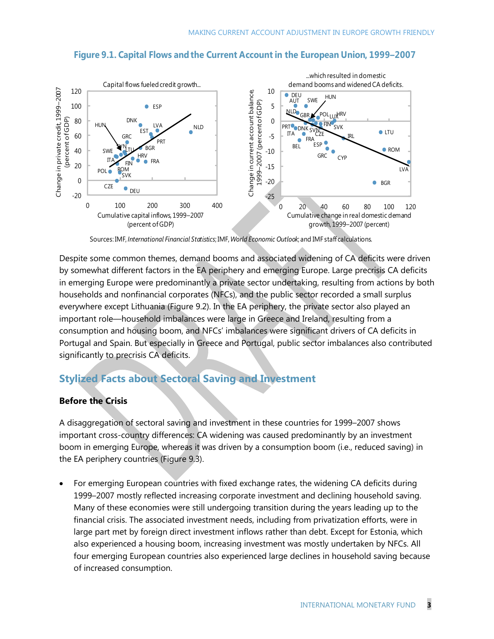#### **Figure 9.1. Capital Flows andthe Current Account in the European Union, 1999–2007**



Sources: IMF, *International Financial Statistics*; IMF, *World Economic Outlook*; and IMF staff calculations.

Despite some common themes, demand booms and associated widening of CA deficits were driven by somewhat different factors in the EA periphery and emerging Europe. Large precrisis CA deficits in emerging Europe were predominantly a private sector undertaking, resulting from actions by both households and nonfinancial corporates (NFCs), and the public sector recorded a small surplus everywhere except Lithuania (Figure 9.2). In the EA periphery, the private sector also played an important role—household imbalances were large in Greece and Ireland, resulting from a consumption and housing boom, and NFCs' imbalances were significant drivers of CA deficits in Portugal and Spain. But especially in Greece and Portugal, public sector imbalances also contributed significantly to precrisis CA deficits.

# **Stylized Facts about Sectoral Saving and Investment**

#### **Before the Crisis**

A disaggregation of sectoral saving and investment in these countries for 1999–2007 shows important cross-country differences: CA widening was caused predominantly by an investment boom in emerging Europe, whereas it was driven by a consumption boom (i.e., reduced saving) in the EA periphery countries (Figure 9.3).

 For emerging European countries with fixed exchange rates, the widening CA deficits during 1999–2007 mostly reflected increasing corporate investment and declining household saving. Many of these economies were still undergoing transition during the years leading up to the financial crisis. The associated investment needs, including from privatization efforts, were in large part met by foreign direct investment inflows rather than debt. Except for Estonia, which also experienced a housing boom, increasing investment was mostly undertaken by NFCs. All four emerging European countries also experienced large declines in household saving because of increased consumption.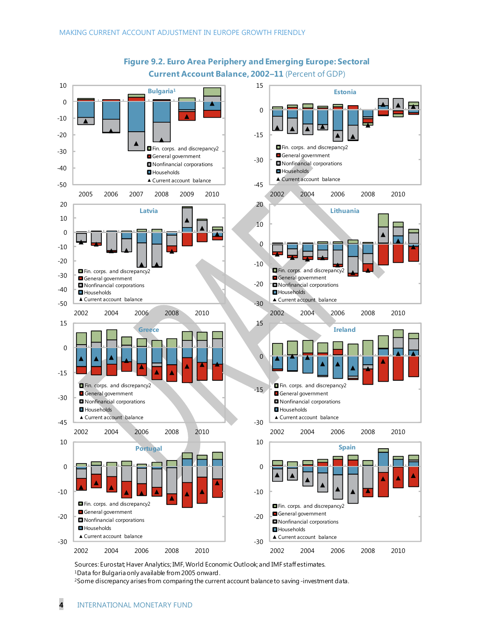

**Figure 9.2. Euro Area Periphery and Emerging Europe: Sectoral Current Account Balance, 2002–11** (Percent of GDP)

Sources: Eurostat; Haver Analytics; IMF, World Economic Outlook; and IMF staff estimates. <sup>1</sup>Data for Bulgaria only available from 2005 onward.

<sup>2</sup>Some discrepancy arises from comparing the current account balance to saving -investment data.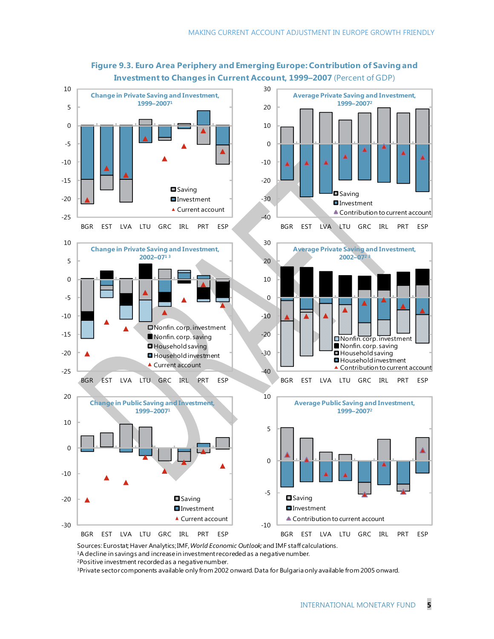

### **Figure 9.3. Euro Area Periphery and Emerging Europe: Contribution of Saving and Investment to Changes in Current Account, 1999–2007** (Percent of GDP)

Sources: Eurostat; Haver Analytics;IMF, *World Economic Outlook;*and IMF staff calculations. <sup>1</sup>A decline in savings and increase in investment recoreded as a negative number.

<sup>2</sup>Positive investment recorded as a negative number.

3Private sector components available only from 2002 onward. Data for Bulgaria only available from 2005 onward.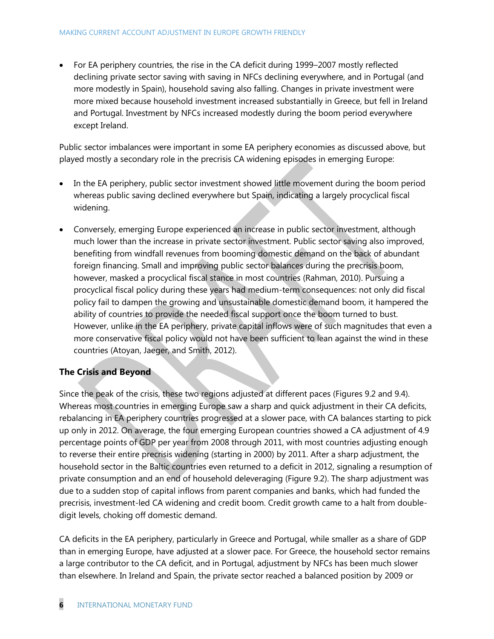• For EA periphery countries, the rise in the CA deficit during 1999–2007 mostly reflected declining private sector saving with saving in NFCs declining everywhere, and in Portugal (and more modestly in Spain), household saving also falling. Changes in private investment were more mixed because household investment increased substantially in Greece, but fell in Ireland and Portugal. Investment by NFCs increased modestly during the boom period everywhere except Ireland.

Public sector imbalances were important in some EA periphery economies as discussed above, but played mostly a secondary role in the precrisis CA widening episodes in emerging Europe:

- In the EA periphery, public sector investment showed little movement during the boom period whereas public saving declined everywhere but Spain, indicating a largely procyclical fiscal widening.
- Conversely, emerging Europe experienced an increase in public sector investment, although much lower than the increase in private sector investment. Public sector saving also improved, benefiting from windfall revenues from booming domestic demand on the back of abundant foreign financing. Small and improving public sector balances during the precrisis boom, however, masked a procyclical fiscal stance in most countries (Rahman, 2010). Pursuing a procyclical fiscal policy during these years had medium-term consequences: not only did fiscal policy fail to dampen the growing and unsustainable domestic demand boom, it hampered the ability of countries to provide the needed fiscal support once the boom turned to bust. However, unlike in the EA periphery, private capital inflows were of such magnitudes that even a more conservative fiscal policy would not have been sufficient to lean against the wind in these countries (Atoyan, Jaeger, and Smith, 2012).

#### **The Crisis and Beyond**

Since the peak of the crisis, these two regions adjusted at different paces (Figures 9.2 and 9.4). Whereas most countries in emerging Europe saw a sharp and quick adjustment in their CA deficits, rebalancing in EA periphery countries progressed at a slower pace, with CA balances starting to pick up only in 2012. On average, the four emerging European countries showed a CA adjustment of 4.9 percentage points of GDP per year from 2008 through 2011, with most countries adjusting enough to reverse their entire precrisis widening (starting in 2000) by 2011. After a sharp adjustment, the household sector in the Baltic countries even returned to a deficit in 2012, signaling a resumption of private consumption and an end of household deleveraging (Figure 9.2). The sharp adjustment was due to a sudden stop of capital inflows from parent companies and banks, which had funded the precrisis, investment-led CA widening and credit boom. Credit growth came to a halt from doubledigit levels, choking off domestic demand.

CA deficits in the EA periphery, particularly in Greece and Portugal, while smaller as a share of GDP than in emerging Europe, have adjusted at a slower pace. For Greece, the household sector remains a large contributor to the CA deficit, and in Portugal, adjustment by NFCs has been much slower than elsewhere. In Ireland and Spain, the private sector reached a balanced position by 2009 or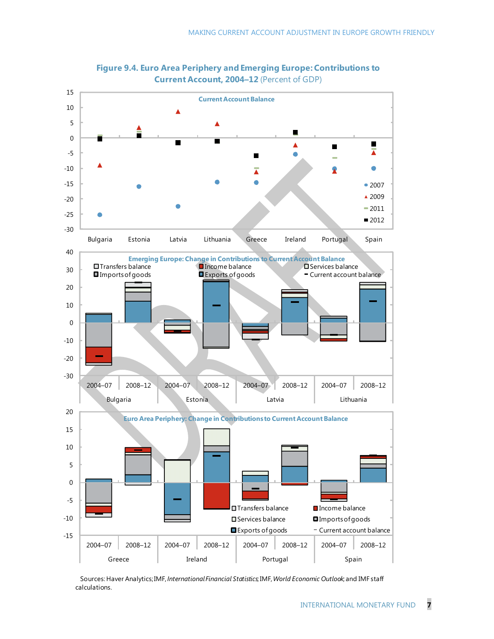



Sources: Haver Analytics;IMF, *International Financial Statistics*; IMF, *World Economic Outlook*; and IMF staff calculations.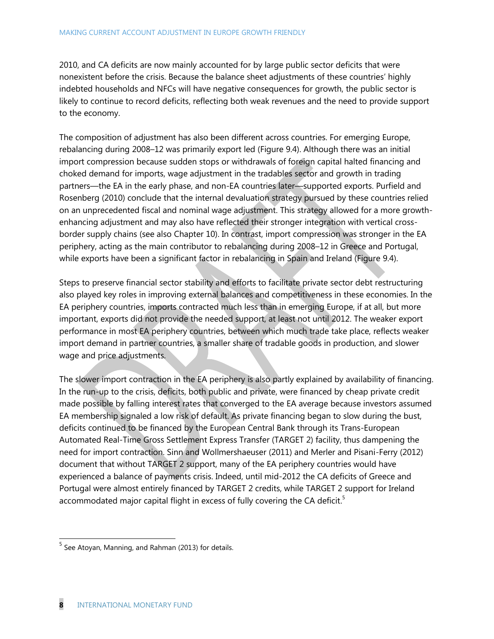2010, and CA deficits are now mainly accounted for by large public sector deficits that were nonexistent before the crisis. Because the balance sheet adjustments of these countries' highly indebted households and NFCs will have negative consequences for growth, the public sector is likely to continue to record deficits, reflecting both weak revenues and the need to provide support to the economy.

The composition of adjustment has also been different across countries. For emerging Europe, rebalancing during 2008–12 was primarily export led (Figure 9.4). Although there was an initial import compression because sudden stops or withdrawals of foreign capital halted financing and choked demand for imports, wage adjustment in the tradables sector and growth in trading partners—the EA in the early phase, and non-EA countries later—supported exports. Purfield and Rosenberg (2010) conclude that the internal devaluation strategy pursued by these countries relied on an unprecedented fiscal and nominal wage adjustment. This strategy allowed for a more growthenhancing adjustment and may also have reflected their stronger integration with vertical crossborder supply chains (see also Chapter 10). In contrast, import compression was stronger in the EA periphery, acting as the main contributor to rebalancing during 2008–12 in Greece and Portugal, while exports have been a significant factor in rebalancing in Spain and Ireland (Figure 9.4).

Steps to preserve financial sector stability and efforts to facilitate private sector debt restructuring also played key roles in improving external balances and competitiveness in these economies. In the EA periphery countries, imports contracted much less than in emerging Europe, if at all, but more important, exports did not provide the needed support, at least not until 2012. The weaker export performance in most EA periphery countries, between which much trade take place, reflects weaker import demand in partner countries, a smaller share of tradable goods in production, and slower wage and price adjustments.

The slower import contraction in the EA periphery is also partly explained by availability of financing. In the run-up to the crisis, deficits, both public and private, were financed by cheap private credit made possible by falling interest rates that converged to the EA average because investors assumed EA membership signaled a low risk of default. As private financing began to slow during the bust, deficits continued to be financed by the European Central Bank through its Trans-European Automated Real-Time Gross Settlement Express Transfer (TARGET 2) facility, thus dampening the need for import contraction. Sinn and Wollmershaeuser (2011) and Merler and Pisani-Ferry (2012) document that without TARGET 2 support, many of the EA periphery countries would have experienced a balance of payments crisis. Indeed, until mid-2012 the CA deficits of Greece and Portugal were almost entirely financed by TARGET 2 credits, while TARGET 2 support for Ireland accommodated major capital flight in excess of fully covering the CA deficit.<sup>5</sup>

<sup>&</sup>lt;u>s</u><br><sup>5</sup> See Atoyan, Manning, and Rahman (2013) for details.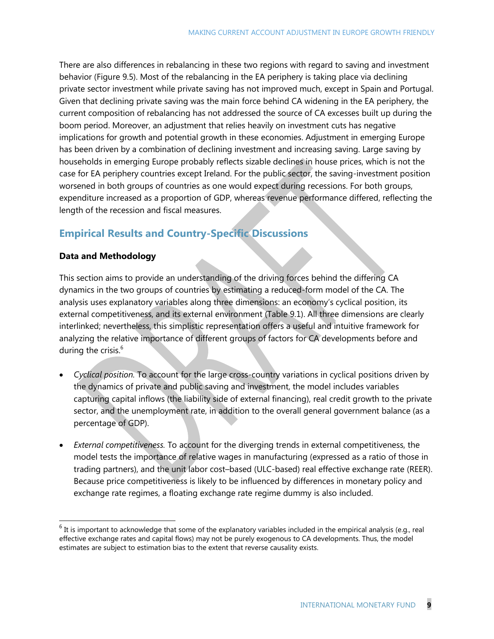There are also differences in rebalancing in these two regions with regard to saving and investment behavior (Figure 9.5). Most of the rebalancing in the EA periphery is taking place via declining private sector investment while private saving has not improved much, except in Spain and Portugal. Given that declining private saving was the main force behind CA widening in the EA periphery, the current composition of rebalancing has not addressed the source of CA excesses built up during the boom period. Moreover, an adjustment that relies heavily on investment cuts has negative implications for growth and potential growth in these economies. Adjustment in emerging Europe has been driven by a combination of declining investment and increasing saving. Large saving by households in emerging Europe probably reflects sizable declines in house prices, which is not the case for EA periphery countries except Ireland. For the public sector, the saving-investment position worsened in both groups of countries as one would expect during recessions. For both groups, expenditure increased as a proportion of GDP, whereas revenue performance differed, reflecting the length of the recession and fiscal measures.

# **Empirical Results and Country-Specific Discussions**

#### **Data and Methodology**

This section aims to provide an understanding of the driving forces behind the differing CA dynamics in the two groups of countries by estimating a reduced-form model of the CA. The analysis uses explanatory variables along three dimensions: an economy's cyclical position, its external competitiveness, and its external environment (Table 9.1). All three dimensions are clearly interlinked; nevertheless, this simplistic representation offers a useful and intuitive framework for analyzing the relative importance of different groups of factors for CA developments before and during the crisis. $6$ 

- *Cyclical position.* To account for the large cross-country variations in cyclical positions driven by the dynamics of private and public saving and investment, the model includes variables capturing capital inflows (the liability side of external financing), real credit growth to the private sector, and the unemployment rate, in addition to the overall general government balance (as a percentage of GDP).
- *External competitiveness.* To account for the diverging trends in external competitiveness, the model tests the importance of relative wages in manufacturing (expressed as a ratio of those in trading partners), and the unit labor cost–based (ULC-based) real effective exchange rate (REER). Because price competitiveness is likely to be influenced by differences in monetary policy and exchange rate regimes, a floating exchange rate regime dummy is also included.

<sup>&</sup>lt;sup>6</sup> It is important to acknowledge that some of the explanatory variables included in the empirical analysis (e.g., real<br><sup>6</sup> It is important to acknowledge that some of the explanatory variables included in the empirical a effective exchange rates and capital flows) may not be purely exogenous to CA developments. Thus, the model estimates are subject to estimation bias to the extent that reverse causality exists.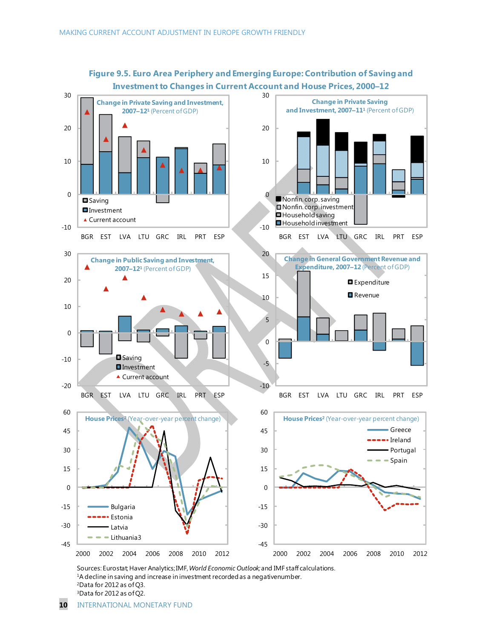

**Figure 9.5. Euro Area Periphery and Emerging Europe: Contribution of Saving and Investment to Changes in Current Account and House Prices, 2000–12**

Sources: Eurostat; Haver Analytics;IMF, *World Economic Outlook;*and IMF staff calculations. <sup>1</sup>A decline in saving and increase in investment recorded as a negativenumber. <sup>2</sup>Data for 2012 as of Q3. <sup>3</sup>Data for 2012 as of Q2.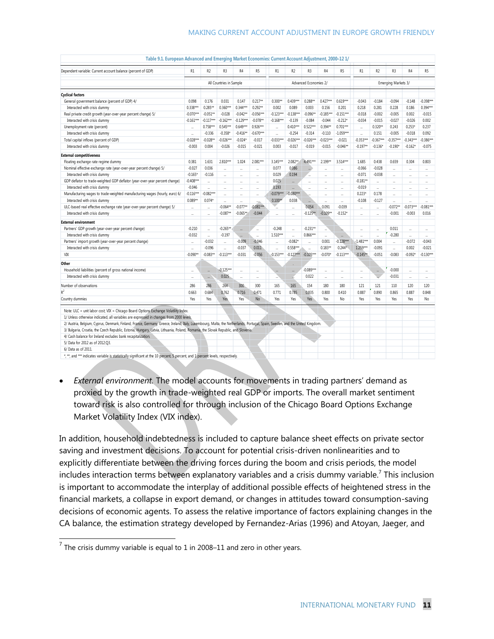| Dependent variable: Current account balance (percent of GDP)                                                                                                                 | R1                      | R <sub>2</sub>       | R <sub>3</sub>        | R <sub>4</sub>        | R <sub>5</sub>       | R1                   | R <sub>2</sub>       | R <sub>3</sub>       | R <sub>4</sub>           | R5                   | R1                   | R <sub>2</sub>       | R <sub>3</sub>           | R <sub>4</sub>           | R <sub>5</sub>       |
|------------------------------------------------------------------------------------------------------------------------------------------------------------------------------|-------------------------|----------------------|-----------------------|-----------------------|----------------------|----------------------|----------------------|----------------------|--------------------------|----------------------|----------------------|----------------------|--------------------------|--------------------------|----------------------|
|                                                                                                                                                                              | All Countries in Sample |                      |                       | Advanced Economies 2/ |                      |                      |                      | Emerging Markets 3/  |                          |                      |                      |                      |                          |                          |                      |
| <b>Cyclical factors</b>                                                                                                                                                      |                         |                      |                       |                       |                      |                      |                      |                      |                          |                      |                      |                      |                          |                          |                      |
| General government balance (percent of GDP) 4/                                                                                                                               | 0.098                   | 0.176                | 0.031                 | 0.147                 | $0.217**$            | $0.300**$            | $0.439***$           | $0.288**$            | $0.427***$               | $0.619***$           | $-0.043$             | $-0.184$             | $-0.094$                 | $-0.148$                 | $-0.398***$          |
| Interacted with crisis dummy                                                                                                                                                 | $0.338***$              | $0.285**$            | $0.360***$            | $0.344***$            | $0.292**$            | 0.002                | 0.089                | 0.003                | 0.156                    | 0.201                | 0.218                | 0.281                | 0.228                    | 0.186                    | $0.394***$           |
| Real private credit growth (year-over-year percent change) 5/                                                                                                                | $-0.070***$             | $-0.051**$           | $-0.028$              | $-0.042**$            | $-0.056***$          | $-0.123***$          | $-0.138***$          | $-0.096**$           | $-0.185***$              | $-0.151***$          | $-0.018$             | $-0.002$             | $-0.005$                 | 0.002                    | $-0.015$             |
| Interacted with crisis dummy                                                                                                                                                 | $-0.161***$             | $-0.117***$          | $-0.162***$           | $-0.129***$           | $-0.078**$           | $-0.168***$          | $-0.139$             | $-0.084$             | $-0.044$                 | $-0.212*$            | $-0.034$             | $-0.015$             | $-0.027$                 | $-0.026$                 | 0.002                |
| Unemployment rate (percent)                                                                                                                                                  |                         | $0.758***$           | $0.545***$            | $0.649***$            | $0.926***$           | $\cdot$              | $0.410***$           | $0.522***$           | $0.394**$                | $0.701***$           | $\ddotsc$            | $0.320**$            | 0.243                    | $0.253*$                 | 0.237                |
| Interacted with crisis dummy                                                                                                                                                 |                         | $-0.336$             | $-0.358$ <sup>*</sup> | $-0.416**$            | $-0.670***$          | $\ddotsc$            | $-0.254$             | $-0.314$             | $-0.110$                 | $-1.059***$          | $\cdot$              | 0.151                | $-0.005$                 | $-0.018$                 | 0.092                |
| Total capital inflows (percent of GDP)                                                                                                                                       | $-0.028***$             | $-0.028**$           | $-0.026***$           | $-0.024*$             | $-0.017$             | $-0.033***$          | $-0.026***$          | $-0.026***$          | $-0.023***$              | $-0.021$             | $-0.353***$          | $-0.367***$          | $-0.357***$              | $-0.343***$              | $-0.386***$          |
| Interacted with crisis dummy                                                                                                                                                 | $-0.003$                | 0.004                | $-0.026$              | $-0.015$              | $-0.021$             | 0.003                | $-0.017$             | $-0.019$             | $-0.015$                 | $-0.046**$           | $-0.197**$           | $-0.136*$            | $-0.190*$                | $-0.162*$                | $-0.075$             |
| <b>External competitiveness</b>                                                                                                                                              |                         |                      |                       |                       |                      |                      |                      |                      |                          |                      |                      |                      |                          |                          |                      |
|                                                                                                                                                                              | 0.381                   | 1.631                | 2.810***              | 1.024                 | $2.081***$           | 3.145***             | 2.082**              | 4.491***             | $2.199**$                | 3.514***             | 1.685                | 0.438                | 0.659                    | 0.304                    | 0.803                |
| Floating exchange rate regime dummy                                                                                                                                          | $-0.027$                | 0.036                |                       |                       |                      | 0.077                | 0.086                |                      |                          |                      | $-0.066$             | $-0.028$             |                          |                          |                      |
| Nominal effective exchange rate (year-over-year percent change) 5/                                                                                                           |                         |                      |                       |                       | $\ddot{\phantom{a}}$ |                      |                      |                      | $\ddot{\phantom{a}}$     | $\ddot{\phantom{a}}$ |                      |                      | $\ddotsc$                | $\overline{\phantom{a}}$ |                      |
| Interacted with crisis dummy                                                                                                                                                 | $-0.165*$               | $-0.116$             | $\ddot{\phantom{a}}$  |                       |                      | 0.029                | 0.194                |                      |                          |                      | $-0.071$             | $-0.038$             |                          |                          |                      |
| GDP deflator to trade-weighted GDP deflator (year-over-year percent change)                                                                                                  | $-0.408***$             | $\ddot{\phantom{a}}$ | $\ddot{\phantom{0}}$  | $\ddot{\phantom{a}}$  | $\ddot{\phantom{a}}$ | 0.025<br>0.193       |                      | $\ddot{\phantom{0}}$ | $\ddot{\phantom{a}}$     | $\ddot{\phantom{0}}$ | $-0.181**$           |                      | $\ddot{\phantom{0}}$     | $\ddot{\phantom{a}}$     | $\ddot{\phantom{0}}$ |
| Interacted with crisis dummy                                                                                                                                                 | $-0.046$                | $\ddot{\phantom{a}}$ |                       | $\ddot{\phantom{a}}$  |                      |                      |                      | $\ddot{\phantom{0}}$ |                          | $\ddot{\phantom{0}}$ | $-0.019$             | $\ddot{\phantom{a}}$ | $\ddot{\phantom{0}}$     | $\ddot{\phantom{a}}$     | $\ddot{\phantom{0}}$ |
| Manufacturing wages to trade-weighted manufacturing wages (hourly, euro) 6/                                                                                                  | $-0.116***$             | $-0.082***$          |                       |                       |                      | $-0.079***$          | $-0.080***$          |                      |                          | $\ddotsc$            | $0.223*$             | 0.178                |                          |                          |                      |
| Interacted with crisis dummy                                                                                                                                                 | $0.089**$               | $0.074*$             | $\ddot{\phantom{a}}$  |                       |                      | $0.100*$             | 0.038                | $\cdot$              | $\overline{\phantom{a}}$ |                      | $-0.108$             | $-0.127$             | $\ddot{\phantom{a}}$     | $\overline{\phantom{a}}$ | $\ddot{\phantom{0}}$ |
| ULC-based real effective exchange rate (year-over-year percent change) 5/                                                                                                    |                         |                      | $-0.064**$            | $-0.077**$            | $-0.081***$          |                      |                      | 0.054                | 0.091                    | $-0.039$             |                      | $\ddotsc$            | $-0.072**$               | $-0.073***$              | $-0.081***$          |
| Interacted with crisis dummy                                                                                                                                                 |                         | $\ddot{\phantom{0}}$ | $-0.087**$            | $-0.065**$            | $-0.044$             |                      | $\ddot{\phantom{a}}$ | $-0.125**$           | $-0.109**$               | $-0.152*$            | $\ddot{\phantom{a}}$ |                      | $-0.001$                 | $-0.003$                 | 0.016                |
| <b>External environment</b>                                                                                                                                                  |                         |                      |                       |                       |                      |                      |                      |                      |                          |                      |                      |                      |                          |                          |                      |
| Partners' GDP growth (year-over-year percent change)                                                                                                                         | $-0.210$                | $\ddotsc$            | $-0.265**$            | $\ddot{\phantom{a}}$  |                      | $-0.248$             |                      | $-0.231**$           |                          |                      | $\ddotsc$            |                      | 0.011                    | $\ddotsc$                |                      |
| Interacted with crisis dummy                                                                                                                                                 | $-0.032$                | $\ddot{\phantom{a}}$ | $-0.197$              |                       |                      | $1.510***$           | $\ddot{\phantom{a}}$ | $0.866***$           |                          |                      |                      |                      | $-0.280$                 | $\ddot{\phantom{0}}$     | $\ddot{\phantom{0}}$ |
| Partners' import growth (year-over-year percent change)                                                                                                                      |                         | $-0.032$             |                       | $-0.009$              | $-0.046$             |                      | $-0.082*$            |                      | 0.001                    | $-0.128***$          | $-1.481***$          | 0.004                | $\cdot$                  | $-0.072$                 | $-0.043$             |
| Interacted with crisis dummy                                                                                                                                                 |                         | $-0.096$             |                       | $-0.037$              | 0.011                | $\ddot{\phantom{0}}$ | $0.558***$           |                      | $0.183**$                | $0.244*$             | $1.259***$           | $-0.091$             | $\overline{\phantom{a}}$ | 0.002                    | $-0.021$             |
| VIX                                                                                                                                                                          | $-0.090**$              | $-0.083**$           | $-0.113***$           | $-0.031$              | $-0.056$             | $-0.153***$          | $-0.127***$          | $-0.105***$          | $-0.070*$                | $-0.113***$          | $-0.145**$           | $-0.051$             | $-0.083$                 | $-0.092*$                | $-0.130***$          |
| Other                                                                                                                                                                        |                         |                      |                       |                       |                      |                      |                      |                      |                          |                      |                      |                      |                          |                          |                      |
| Household liabilities (percent of gross national income)                                                                                                                     |                         |                      | $-0.125***$           |                       |                      |                      |                      | $-0.089***$          |                          |                      |                      | $\cdots$             | $-0.000$                 |                          |                      |
| Interacted with crisis dummy                                                                                                                                                 |                         |                      | 0.025                 |                       |                      |                      |                      | 0.022                |                          | $\ddotsc$            | $\cdot$              |                      | $-0.031$                 | $\ddotsc$                |                      |
| Number of observations                                                                                                                                                       | 286                     | 286                  | 264                   | 300                   | 300                  | 165                  | 165                  | 154                  | 180                      | 180                  | 121                  | 121                  | 110                      | 120                      | 120                  |
| $R^2$                                                                                                                                                                        | 0.663                   | 0.684                | 0.762                 | 0.716                 | 0.471                | 0.771                | 0.785                | 0.835                | 0.800                    | 0.410                | 0.887                | 0.890                | 0.865                    | 0.887                    | 0.848                |
| Country dummies                                                                                                                                                              | Yes                     | Yes                  | Yes                   | Yes                   | <b>No</b>            | Yes                  | Yes                  | Yes                  | Yes                      | No                   | Yes                  | Yes                  | Yes                      | Yes                      | No                   |
|                                                                                                                                                                              |                         |                      |                       |                       |                      |                      |                      |                      |                          |                      |                      |                      |                          |                          |                      |
| Note: ULC = unit labor cost; VIX = Chicago Board Options Exchange Volatility Index.                                                                                          |                         |                      |                       |                       |                      |                      |                      |                      |                          |                      |                      |                      |                          |                          |                      |
| 1/ Unless otherwise indicated, all variables are expressed in changes from 2000 levels.                                                                                      |                         |                      |                       |                       |                      |                      |                      |                      |                          |                      |                      |                      |                          |                          |                      |
| 2/ Austria, Belgium, Cyprus, Denmark, Finland, France, Germany, Greece, Ireland, Italy, Luxembourg, Malta, the Netherlands, Portugal, Spain, Sweden, and the United Kingdom. |                         |                      |                       |                       |                      |                      |                      |                      |                          |                      |                      |                      |                          |                          |                      |
| 3/ Bulgaria, Croatia, the Czech Republic, Estonia, Hungary, Latvia, Lithuania, Poland, Romania, the Slovak Republic, and Slovenia.                                           |                         |                      |                       |                       |                      |                      |                      |                      |                          |                      |                      |                      |                          |                          |                      |
| 4/ Cash balance for Ireland excludes bank recapitalization.                                                                                                                  |                         |                      |                       |                       |                      |                      |                      |                      |                          |                      |                      |                      |                          |                          |                      |
| 5/ Data for 2012 as of 2012:Q3.                                                                                                                                              |                         |                      |                       |                       |                      |                      |                      |                      |                          |                      |                      |                      |                          |                          |                      |
| 6/ Data as of 2011.                                                                                                                                                          |                         |                      |                       |                       |                      |                      |                      |                      |                          |                      |                      |                      |                          |                          |                      |
| *, **, and *** indicates variable is statistically significant at the 10 percent, 5 percent, and 1 percent levels, respectively.                                             |                         |                      |                       |                       |                      |                      |                      |                      |                          |                      |                      |                      |                          |                          |                      |

**Table 9.1. European Advanced and Emerging Market Economies: Current Account Adjustment, 2000–12 1/**

 *External environment.* The model accounts for movements in trading partners' demand as proxied by the growth in trade-weighted real GDP or imports. The overall market sentiment toward risk is also controlled for through inclusion of the Chicago Board Options Exchange Market Volatility Index (VIX index).

In addition, household indebtedness is included to capture balance sheet effects on private sector saving and investment decisions. To account for potential crisis-driven nonlinearities and to explicitly differentiate between the driving forces during the boom and crisis periods, the model includes interaction terms between explanatory variables and a crisis dummy variable.<sup>7</sup> This inclusion is important to accommodate the interplay of additional possible effects of heightened stress in the financial markets, a collapse in export demand, or changes in attitudes toward consumption-saving decisions of economic agents. To assess the relative importance of factors explaining changes in the CA balance, the estimation strategy developed by Fernandez-Arias (1996) and Atoyan, Jaeger, and

The crisis dummy variable is equal to 1 in 2008–11 and zero in other years.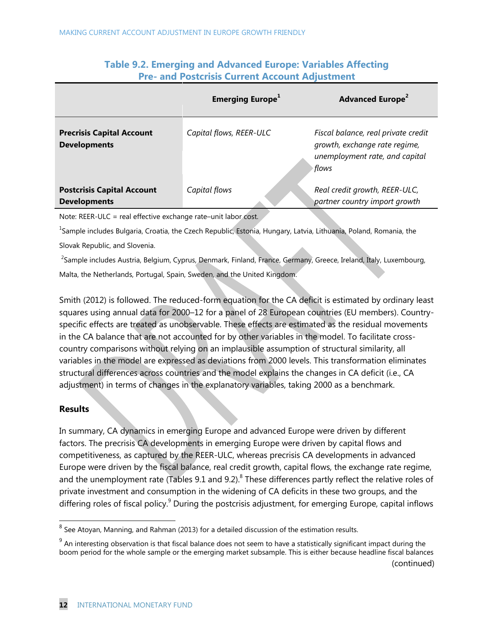|                                                          | <b>Emerging Europe</b> <sup>1</sup> | <b>Advanced Europe<sup>2</sup></b>                                                                              |  |  |  |  |  |
|----------------------------------------------------------|-------------------------------------|-----------------------------------------------------------------------------------------------------------------|--|--|--|--|--|
| <b>Precrisis Capital Account</b><br><b>Developments</b>  | Capital flows, REER-ULC             | Fiscal balance, real private credit<br>growth, exchange rate regime,<br>unemployment rate, and capital<br>flows |  |  |  |  |  |
| <b>Postcrisis Capital Account</b><br><b>Developments</b> | Capital flows                       | Real credit growth, REER-ULC,<br>partner country import growth                                                  |  |  |  |  |  |

## **Table 9.2. Emerging and Advanced Europe: Variables Affecting Pre- and Postcrisis Current Account Adjustment**

Note: REER-ULC = real effective exchange rate–unit labor cost.

<sup>1</sup>Sample includes Bulgaria, Croatia, the Czech Republic, Estonia, Hungary, Latvia, Lithuania, Poland, Romania, the Slovak Republic, and Slovenia.

<sup>2</sup>Sample includes Austria, Belgium, Cyprus, Denmark, Finland, France, Germany, Greece, Ireland, Italy, Luxembourg, Malta, the Netherlands, Portugal, Spain, Sweden, and the United Kingdom.

Smith (2012) is followed. The reduced-form equation for the CA deficit is estimated by ordinary least squares using annual data for 2000–12 for a panel of 28 European countries (EU members). Countryspecific effects are treated as unobservable. These effects are estimated as the residual movements in the CA balance that are not accounted for by other variables in the model. To facilitate crosscountry comparisons without relying on an implausible assumption of structural similarity, all variables in the model are expressed as deviations from 2000 levels. This transformation eliminates structural differences across countries and the model explains the changes in CA deficit (i.e., CA adjustment) in terms of changes in the explanatory variables, taking 2000 as a benchmark.

#### **Results**

In summary, CA dynamics in emerging Europe and advanced Europe were driven by different factors. The precrisis CA developments in emerging Europe were driven by capital flows and competitiveness, as captured by the REER-ULC, whereas precrisis CA developments in advanced Europe were driven by the fiscal balance, real credit growth, capital flows, the exchange rate regime, and the unemployment rate (Tables 9.1 and 9.2). $^8$  These differences partly reflect the relative roles of private investment and consumption in the widening of CA deficits in these two groups, and the differing roles of fiscal policy.<sup>9</sup> During the postcrisis adjustment, for emerging Europe, capital inflows

<sup>&</sup>lt;u>ect</u><br><sup>8</sup> See Atoyan, Manning, and Rahman (2013) for a detailed discussion of the estimation results.

 $^9$  An interesting observation is that fiscal balance does not seem to have a statistically significant impact during the boom period for the whole sample or the emerging market subsample. This is either because headline fiscal balances (continued)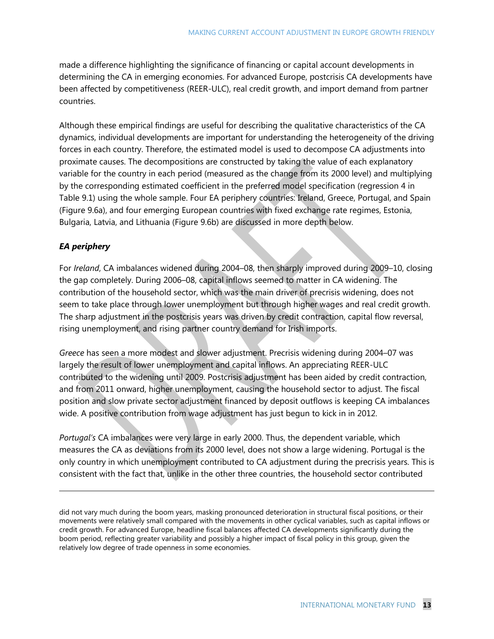made a difference highlighting the significance of financing or capital account developments in determining the CA in emerging economies. For advanced Europe, postcrisis CA developments have been affected by competitiveness (REER-ULC), real credit growth, and import demand from partner countries.

Although these empirical findings are useful for describing the qualitative characteristics of the CA dynamics, individual developments are important for understanding the heterogeneity of the driving forces in each country. Therefore, the estimated model is used to decompose CA adjustments into proximate causes. The decompositions are constructed by taking the value of each explanatory variable for the country in each period (measured as the change from its 2000 level) and multiplying by the corresponding estimated coefficient in the preferred model specification (regression 4 in Table 9.1) using the whole sample. Four EA periphery countries: Ireland, Greece, Portugal, and Spain (Figure 9.6a), and four emerging European countries with fixed exchange rate regimes, Estonia, Bulgaria, Latvia, and Lithuania (Figure 9.6b) are discussed in more depth below.

#### *EA periphery*

-

For *Ireland*, CA imbalances widened during 2004–08, then sharply improved during 2009–10, closing the gap completely. During 2006–08, capital inflows seemed to matter in CA widening. The contribution of the household sector, which was the main driver of precrisis widening, does not seem to take place through lower unemployment but through higher wages and real credit growth. The sharp adjustment in the postcrisis years was driven by credit contraction, capital flow reversal, rising unemployment, and rising partner country demand for Irish imports.

*Greece* has seen a more modest and slower adjustment. Precrisis widening during 2004–07 was largely the result of lower unemployment and capital inflows. An appreciating REER-ULC contributed to the widening until 2009. Postcrisis adjustment has been aided by credit contraction, and from 2011 onward, higher unemployment, causing the household sector to adjust. The fiscal position and slow private sector adjustment financed by deposit outflows is keeping CA imbalances wide. A positive contribution from wage adjustment has just begun to kick in in 2012.

*Portugal's* CA imbalances were very large in early 2000. Thus, the dependent variable, which measures the CA as deviations from its 2000 level, does not show a large widening. Portugal is the only country in which unemployment contributed to CA adjustment during the precrisis years. This is consistent with the fact that, unlike in the other three countries, the household sector contributed

did not vary much during the boom years, masking pronounced deterioration in structural fiscal positions, or their movements were relatively small compared with the movements in other cyclical variables, such as capital inflows or credit growth. For advanced Europe, headline fiscal balances affected CA developments significantly during the boom period, reflecting greater variability and possibly a higher impact of fiscal policy in this group, given the relatively low degree of trade openness in some economies.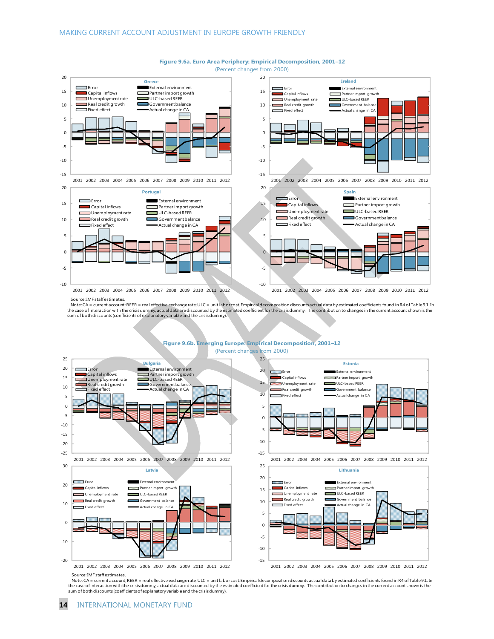

#### **Figure 9.6a. Euro Area Periphery: Empirical Decomposition, 2001–12**

(Percent changes from 2000)

Source: IMF staff estimates.

Note: CA = current account; REER = real effective exchange rate; ULC = unit labor cost. Empirical decomposition discounts act ual data by estimated coefficients found in R4 of Table 9.1. In the case of interaction with the crisisdummy, actual data arediscounted by the estimated coefficient for the crisisdummy. The contribution to changes in the current account shown is the<br>sum of both discounts (coefficients



Note: CA = current account; REER = real effective exchangerate; ULC = unit laborcost Empirical decomposition discounts act ual data by estimated coefficients found in R4 of Table 9.1. In<br>the case of interaction with the cr sum of both discounts (coefficients of explanatory variable and the crisis dummy).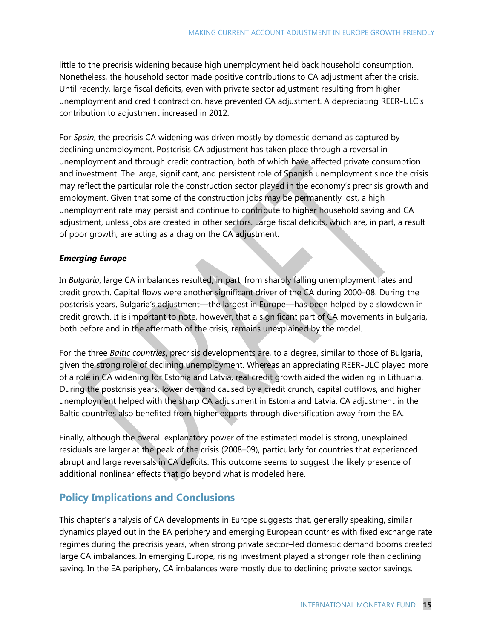little to the precrisis widening because high unemployment held back household consumption. Nonetheless, the household sector made positive contributions to CA adjustment after the crisis. Until recently, large fiscal deficits, even with private sector adjustment resulting from higher unemployment and credit contraction, have prevented CA adjustment. A depreciating REER-ULC's contribution to adjustment increased in 2012.

For *Spain*, the precrisis CA widening was driven mostly by domestic demand as captured by declining unemployment. Postcrisis CA adjustment has taken place through a reversal in unemployment and through credit contraction, both of which have affected private consumption and investment. The large, significant, and persistent role of Spanish unemployment since the crisis may reflect the particular role the construction sector played in the economy's precrisis growth and employment. Given that some of the construction jobs may be permanently lost, a high unemployment rate may persist and continue to contribute to higher household saving and CA adjustment, unless jobs are created in other sectors. Large fiscal deficits, which are, in part, a result of poor growth, are acting as a drag on the CA adjustment.

#### *Emerging Europe*

In *Bulgaria*, large CA imbalances resulted, in part, from sharply falling unemployment rates and credit growth. Capital flows were another significant driver of the CA during 2000–08. During the postcrisis years, Bulgaria's adjustment—the largest in Europe—has been helped by a slowdown in credit growth. It is important to note, however, that a significant part of CA movements in Bulgaria, both before and in the aftermath of the crisis, remains unexplained by the model.

For the three *Baltic countries*, precrisis developments are, to a degree, similar to those of Bulgaria, given the strong role of declining unemployment. Whereas an appreciating REER-ULC played more of a role in CA widening for Estonia and Latvia, real credit growth aided the widening in Lithuania. During the postcrisis years, lower demand caused by a credit crunch, capital outflows, and higher unemployment helped with the sharp CA adjustment in Estonia and Latvia. CA adjustment in the Baltic countries also benefited from higher exports through diversification away from the EA.

Finally, although the overall explanatory power of the estimated model is strong, unexplained residuals are larger at the peak of the crisis (2008–09), particularly for countries that experienced abrupt and large reversals in CA deficits. This outcome seems to suggest the likely presence of additional nonlinear effects that go beyond what is modeled here.

# **Policy Implications and Conclusions**

This chapter's analysis of CA developments in Europe suggests that, generally speaking, similar dynamics played out in the EA periphery and emerging European countries with fixed exchange rate regimes during the precrisis years, when strong private sector–led domestic demand booms created large CA imbalances. In emerging Europe, rising investment played a stronger role than declining saving. In the EA periphery, CA imbalances were mostly due to declining private sector savings.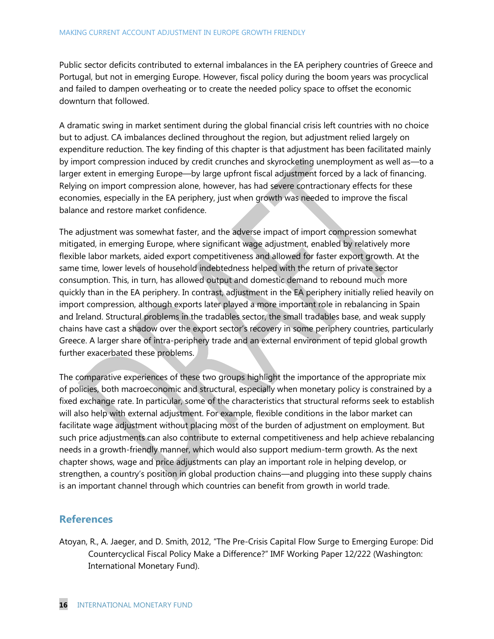Public sector deficits contributed to external imbalances in the EA periphery countries of Greece and Portugal, but not in emerging Europe. However, fiscal policy during the boom years was procyclical and failed to dampen overheating or to create the needed policy space to offset the economic downturn that followed.

A dramatic swing in market sentiment during the global financial crisis left countries with no choice but to adjust. CA imbalances declined throughout the region, but adjustment relied largely on expenditure reduction. The key finding of this chapter is that adjustment has been facilitated mainly by import compression induced by credit crunches and skyrocketing unemployment as well as—to a larger extent in emerging Europe—by large upfront fiscal adjustment forced by a lack of financing. Relying on import compression alone, however, has had severe contractionary effects for these economies, especially in the EA periphery, just when growth was needed to improve the fiscal balance and restore market confidence.

The adjustment was somewhat faster, and the adverse impact of import compression somewhat mitigated, in emerging Europe, where significant wage adjustment, enabled by relatively more flexible labor markets, aided export competitiveness and allowed for faster export growth. At the same time, lower levels of household indebtedness helped with the return of private sector consumption. This, in turn, has allowed output and domestic demand to rebound much more quickly than in the EA periphery. In contrast, adjustment in the EA periphery initially relied heavily on import compression, although exports later played a more important role in rebalancing in Spain and Ireland. Structural problems in the tradables sector, the small tradables base, and weak supply chains have cast a shadow over the export sector's recovery in some periphery countries, particularly Greece. A larger share of intra-periphery trade and an external environment of tepid global growth further exacerbated these problems.

The comparative experiences of these two groups highlight the importance of the appropriate mix of policies, both macroeconomic and structural, especially when monetary policy is constrained by a fixed exchange rate. In particular, some of the characteristics that structural reforms seek to establish will also help with external adjustment. For example, flexible conditions in the labor market can facilitate wage adjustment without placing most of the burden of adjustment on employment. But such price adjustments can also contribute to external competitiveness and help achieve rebalancing needs in a growth-friendly manner, which would also support medium-term growth. As the next chapter shows, wage and price adjustments can play an important role in helping develop, or strengthen, a country's position in global production chains—and plugging into these supply chains is an important channel through which countries can benefit from growth in world trade.

# **References**

Atoyan, R., A. Jaeger, and D. Smith, 2012, "The Pre-Crisis Capital Flow Surge to Emerging Europe: Did Countercyclical Fiscal Policy Make a Difference?‖ IMF Working Paper 12/222 (Washington: International Monetary Fund).